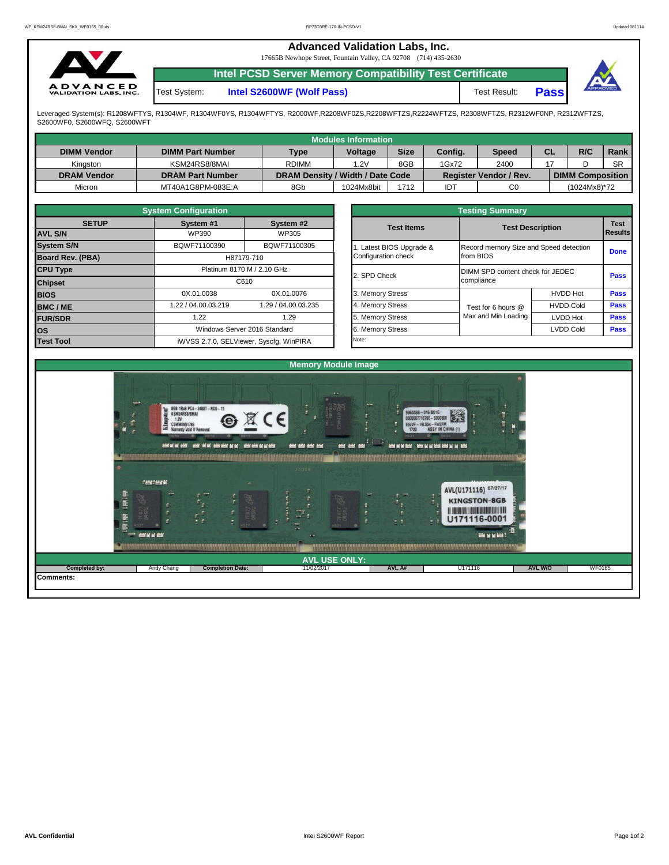| $\sim$                                          |              | <b>Advanced Validation Labs, Inc.</b><br>17665B Newhope Street, Fountain Valley, CA 92708 (714) 435-2630 |              |             |          |
|-------------------------------------------------|--------------|----------------------------------------------------------------------------------------------------------|--------------|-------------|----------|
|                                                 |              | Intel PCSD Server Memory Compatibility Test Certificate                                                  |              |             |          |
| <b>ADVANCED</b><br><b>VALIDATION LABS, INC.</b> | Test System: | Intel S2600WF (Wolf Pass)                                                                                | Test Result: | <b>Pass</b> | APPROVED |

Leveraged System(s): R1208WFTYS, R1304WF, R1304WF0YS, R1304WFTYS, R2000WF,R2208WF0ZS,R2208WFTZS,R2224WFTZS, R2308WFTZS, R2312WF0NP, R2312WFTZS,<br>S2600WF0, S2600WFQ, S2600WFT

|                    |                         |                                  | Modules Information |             |         |                               |           |                         |           |
|--------------------|-------------------------|----------------------------------|---------------------|-------------|---------|-------------------------------|-----------|-------------------------|-----------|
| <b>DIMM Vendor</b> | <b>DIMM Part Number</b> | <b>Type</b>                      | <b>Voltage</b>      | <b>Size</b> | Config. | <b>Speed</b>                  | <b>CL</b> | R/C                     | Rank      |
| Kinaston           | KSM24RS8/8MAI           | <b>RDIMM</b>                     | 1.2V                | 8GB         | 1Gx72   | 2400                          |           |                         | <b>SR</b> |
| <b>DRAM Vendor</b> | <b>DRAM Part Number</b> | DRAM Density / Width / Date Code |                     |             |         | <b>Register Vendor / Rev.</b> |           | <b>DIMM Composition</b> |           |
| Micron             | MT40A1G8PM-083E:A       | 8Gb                              | 1024Mx8bit          | 1712        | IDT     | C <sub>0</sub>                |           | (1024Mx8)*72            |           |

|                         | <b>System Configuration</b> |                                         |
|-------------------------|-----------------------------|-----------------------------------------|
| <b>SETUP</b>            | System #1                   | System #2                               |
| <b>AVL S/N</b>          | <b>WP390</b>                | WP305                                   |
| <b>System S/N</b>       | BQWF71100390                | BQWF71100305                            |
| <b>Board Rev. (PBA)</b> |                             | H87179-710                              |
| <b>CPU Type</b>         |                             | Platinum 8170 M / 2.10 GHz              |
| <b>Chipset</b>          |                             | C610                                    |
| <b>BIOS</b>             | 0X.01.0038                  | 0X.01.0076                              |
| <b>BMC/ME</b>           | 1.22 / 04.00.03.219         | 1.29 / 04.00.03.235                     |
| <b>FUR/SDR</b>          | 1.22                        | 1.29                                    |
| los                     |                             | Windows Server 2016 Standard            |
| <b>Test Tool</b>        |                             | iWVSS 2.7.0, SELViewer, Syscfq, WinPIRA |

| <b>Testing Summary</b>                          |                                                     |                  |                               |  |  |  |  |  |  |
|-------------------------------------------------|-----------------------------------------------------|------------------|-------------------------------|--|--|--|--|--|--|
| <b>Test Items</b>                               | <b>Test Description</b>                             |                  | <b>Test</b><br><b>Results</b> |  |  |  |  |  |  |
| 1. Latest BIOS Upgrade &<br>Configuration check | Record memory Size and Speed detection<br>from BIOS |                  | <b>Done</b>                   |  |  |  |  |  |  |
| 2. SPD Check                                    | DIMM SPD content check for JEDEC<br>compliance      |                  | Pass                          |  |  |  |  |  |  |
| 3. Memory Stress                                |                                                     | <b>HVDD Hot</b>  | <b>Pass</b>                   |  |  |  |  |  |  |
| 4. Memory Stress                                | Test for 6 hours @                                  | <b>HVDD Cold</b> | Pass                          |  |  |  |  |  |  |
| 5. Memory Stress                                | Max and Min Loading                                 | <b>LVDD Hot</b>  | <b>Pass</b>                   |  |  |  |  |  |  |
| 6. Memory Stress                                |                                                     | <b>LVDD Cold</b> | Pass                          |  |  |  |  |  |  |
| Note:                                           |                                                     |                  |                               |  |  |  |  |  |  |